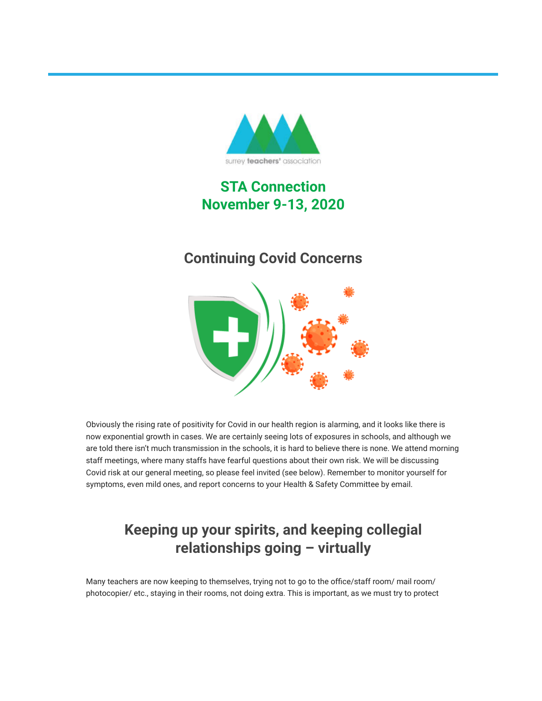

# **STA Connection November 9-13, 2020**

# **Continuing Covid Concerns**



Obviously the rising rate of positivity for Covid in our health region is alarming, and it looks like there is now exponential growth in cases. We are certainly seeing lots of exposures in schools, and although we are told there isn't much transmission in the schools, it is hard to believe there is none. We attend morning staff meetings, where many staffs have fearful questions about their own risk. We will be discussing Covid risk at our general meeting, so please feel invited (see below). Remember to monitor yourself for symptoms, even mild ones, and report concerns to your Health & Safety Committee by email.

# **Keeping up your spirits, and keeping collegial relationships going – virtually**

Many teachers are now keeping to themselves, trying not to go to the office/staff room/ mail room/ photocopier/ etc., staying in their rooms, not doing extra. This is important, as we must try to protect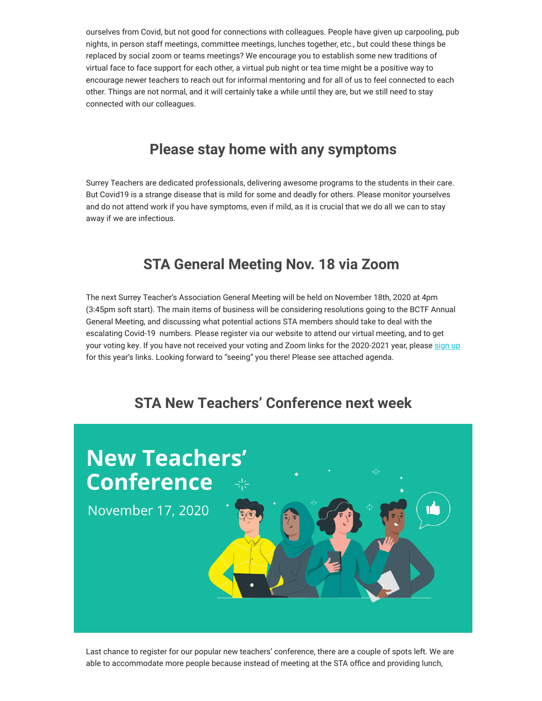ourselves from Covid, but not good for connections with colleagues. People have given up carpooling, pub nights, in person staff meetings, committee meetings, lunches together, etc., but could these things be replaced by social zoom or teams meetings? We encourage you to establish some new traditions of virtual face to face support for each other, a virtual pub night or tea time might be a positive way to encourage newer teachers to reach out for informal mentoring and for all of us to feel connected to each other. Things are not normal, and it will certainly take a while until they are, but we still need to stay connected with our colleagues.

# **Please stay home with any symptoms**

Surrey Teachers are dedicated professionals, delivering awesome programs to the students in their care. But Covid19 is a strange disease that is mild for some and deadly for others. Please monitor yourselves and do not attend work if you have symptoms, even if mild, as it is crucial that we do all we can to stay away if we are infectious.

## **STA General Meeting Nov. 18 via Zoom**

The next Surrey Teacher's Association General Meeting will be held on November 18th, 2020 at 4pm (3:45pm soft start). The main items of business will be considering resolutions going to the BCTF Annual General Meeting, and discussing what potential actions STA members should take to deal with the escalating Covid-19 numbers. Please register via our website to attend our virtual meeting, and to get your voting key. If you have not received your voting and Zoom links for the 2020-2021 year, please [sign up](https://surreyteachers.us20.list-manage.com/track/click?u=37ec644ae87e34b54b3912660&id=c4b151d3ed&e=7261da6bdb) for this year's links. Looking forward to "seeing" you there! Please see attached agenda.

## **STA New Teachers' Conference next week**



Last chance to register for our popular new teachers' conference, there are a couple of spots left. We are able to accommodate more people because instead of meeting at the STA office and providing lunch,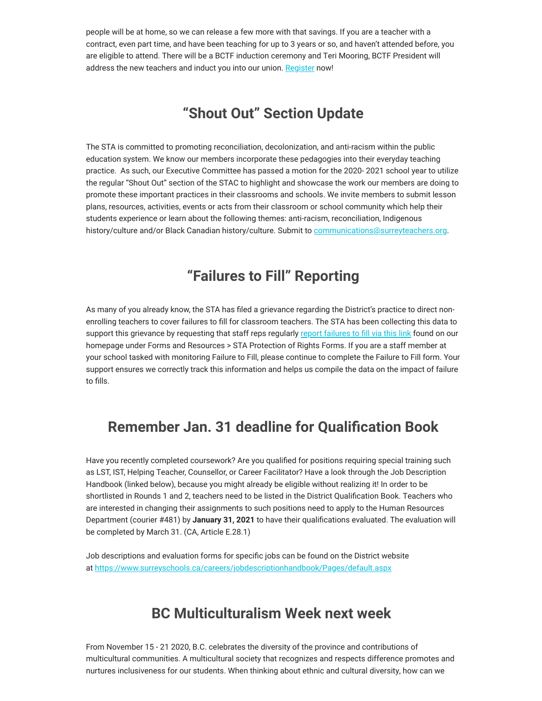people will be at home, so we can release a few more with that savings. If you are a teacher with a contract, even part time, and have been teaching for up to 3 years or so, and haven't attended before, you are eligible to attend. There will be a BCTF induction ceremony and Teri Mooring, BCTF President will address the new teachers and induct you into our union. [Register](https://surreyteachers.us20.list-manage.com/track/click?u=37ec644ae87e34b54b3912660&id=26e88f7dfc&e=7261da6bdb) now!

## **"Shout Out" Section Update**

The STA is committed to promoting reconciliation, decolonization, and anti-racism within the public education system. We know our members incorporate these pedagogies into their everyday teaching practice. As such, our Executive Committee has passed a motion for the 2020- 2021 school year to utilize the regular "Shout Out" section of the STAC to highlight and showcase the work our members are doing to promote these important practices in their classrooms and schools. We invite members to submit lesson plans, resources, activities, events or acts from their classroom or school community which help their students experience or learn about the following themes: anti-racism, reconciliation, Indigenous history/culture and/or Black Canadian history/culture. Submit to [communications@surreyteachers.org](mailto:communications@surreyteachers.org).

## **"Failures to Fill" Reporting**

As many of you already know, the STA has filed a grievance regarding the District's practice to direct nonenrolling teachers to cover failures to fill for classroom teachers. The STA has been collecting this data to support this grievance by requesting that staff reps regularly [report failures to fill via this link](https://surreyteachers.us20.list-manage.com/track/click?u=37ec644ae87e34b54b3912660&id=41b8ae9b89&e=7261da6bdb) found on our homepage under Forms and Resources > STA Protection of Rights Forms. If you are a staff member at your school tasked with monitoring Failure to Fill, please continue to complete the Failure to Fill form. Your support ensures we correctly track this information and helps us compile the data on the impact of failure to fills.

## **Remember Jan. 31 deadline for Qualification Book**

Have you recently completed coursework? Are you qualified for positions requiring special training such as LST, IST, Helping Teacher, Counsellor, or Career Facilitator? Have a look through the Job Description Handbook (linked below), because you might already be eligible without realizing it! In order to be shortlisted in Rounds 1 and 2, teachers need to be listed in the District Qualification Book. Teachers who are interested in changing their assignments to such positions need to apply to the Human Resources Department (courier #481) by **January 31, 2021** to have their qualifications evaluated. The evaluation will be completed by March 31. (CA, Article E.28.1)

Job descriptions and evaluation forms for specific jobs can be found on the District website at [https://www.surreyschools.ca/careers/jobdescriptionhandbook/Pages/default.aspx](https://surreyteachers.us20.list-manage.com/track/click?u=37ec644ae87e34b54b3912660&id=948e58ac15&e=7261da6bdb)

### **BC Multiculturalism Week next week**

From November 15 - 21 2020, B.C. celebrates the diversity of the province and contributions of multicultural communities. A multicultural society that recognizes and respects difference promotes and nurtures inclusiveness for our students. When thinking about ethnic and cultural diversity, how can we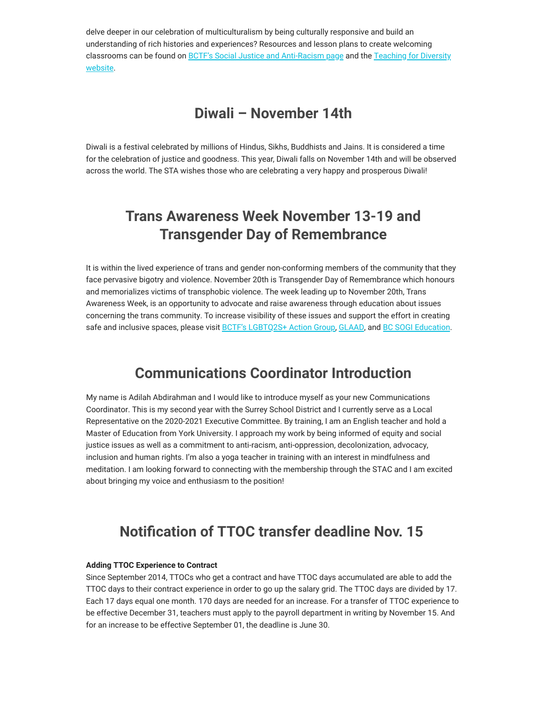delve deeper in our celebration of multiculturalism by being culturally responsive and build an understanding of rich histories and experiences? Resources and lesson plans to create welcoming classrooms can be found on **B[CTF's Social Justice and Anti-Racism pag](https://surreyteachers.us20.list-manage.com/track/click?u=37ec644ae87e34b54b3912660&id=d28bf684ff&e=7261da6bdb)e** and the Teaching for Diversity website.

#### **Diwali – November 14th**

Diwali is a festival celebrated by millions of Hindus, Sikhs, Buddhists and Jains. It is considered a time for the celebration of justice and goodness. This year, Diwali falls on November 14th and will be observed across the world. The STA wishes those who are celebrating a very happy and prosperous Diwali!

## **Trans Awareness Week November 13-19 and Transgender Day of Remembrance**

It is within the lived experience of trans and gender non-conforming members of the community that they face pervasive bigotry and violence. November 20th is Transgender Day of Remembrance which honours and memorializes victims of transphobic violence. The week leading up to November 20th, Trans Awareness Week, is an opportunity to advocate and raise awareness through education about issues concerning the trans community. To increase visibility of these issues and support the effort in creating safe and inclusive spaces, please visit [BCTF's LGBTQ2S+ Action Group,](https://surreyteachers.us20.list-manage.com/track/click?u=37ec644ae87e34b54b3912660&id=e20112f97a&e=7261da6bdb) [GLAAD,](https://surreyteachers.us20.list-manage.com/track/click?u=37ec644ae87e34b54b3912660&id=07f5652039&e=7261da6bdb) and [BC SOGI Education.](https://surreyteachers.us20.list-manage.com/track/click?u=37ec644ae87e34b54b3912660&id=2e5e1deca1&e=7261da6bdb)

### **Communications Coordinator Introduction**

My name is Adilah Abdirahman and I would like to introduce myself as your new Communications Coordinator. This is my second year with the Surrey School District and I currently serve as a Local Representative on the 2020-2021 Executive Committee. By training, I am an English teacher and hold a Master of Education from York University. I approach my work by being informed of equity and social justice issues as well as a commitment to anti-racism, anti-oppression, decolonization, advocacy, inclusion and human rights. I'm also a yoga teacher in training with an interest in mindfulness and meditation. I am looking forward to connecting with the membership through the STAC and I am excited about bringing my voice and enthusiasm to the position!

## **Notification of TTOC transfer deadline Nov. 15**

#### **Adding TTOC Experience to Contract**

Since September 2014, TTOCs who get a contract and have TTOC days accumulated are able to add the TTOC days to their contract experience in order to go up the salary grid. The TTOC days are divided by 17. Each 17 days equal one month. 170 days are needed for an increase. For a transfer of TTOC experience to be effective December 31, teachers must apply to the payroll department in writing by November 15. And for an increase to be effective September 01, the deadline is June 30.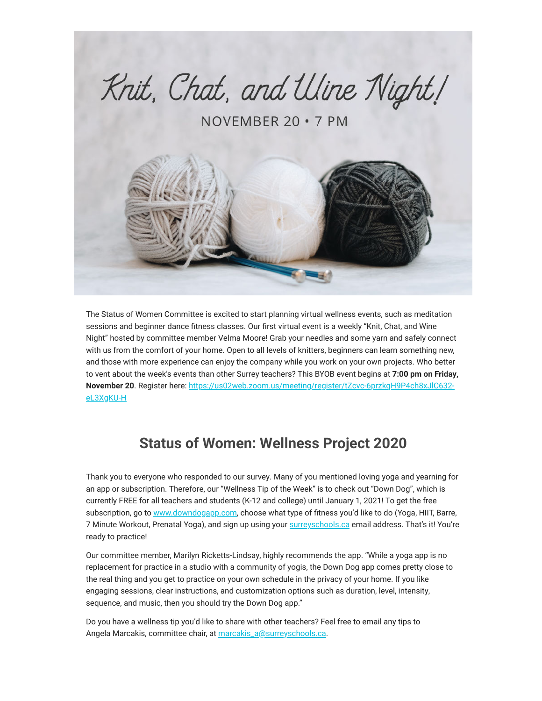

The Status of Women Committee is excited to start planning virtual wellness events, such as meditation sessions and beginner dance fitness classes. Our first virtual event is a weekly "Knit, Chat, and Wine Night" hosted by committee member Velma Moore! Grab your needles and some yarn and safely connect with us from the comfort of your home. Open to all levels of knitters, beginners can learn something new, and those with more experience can enjoy the company while you work on your own projects. Who better to vent about the week's events than other Surrey teachers? This BYOB event begins at **7:00 pm on Friday, November 20**[. Register here: https://us02web.zoom.us/meeting/register/tZcvc-6przkqH9P4ch8xJlC632](https://surreyteachers.us20.list-manage.com/track/click?u=37ec644ae87e34b54b3912660&id=c5ee46a3eb&e=7261da6bdb) eL3XgKU-H

## **Status of Women: Wellness Project 2020**

Thank you to everyone who responded to our survey. Many of you mentioned loving yoga and yearning for an app or subscription. Therefore, our "Wellness Tip of the Week" is to check out "Down Dog", which is currently FREE for all teachers and students (K-12 and college) until January 1, 2021! To get the free subscription, go to [www.downdogapp.com,](https://surreyteachers.us20.list-manage.com/track/click?u=37ec644ae87e34b54b3912660&id=4a7d3a011a&e=7261da6bdb) choose what type of fitness you'd like to do (Yoga, HIIT, Barre, 7 Minute Workout, Prenatal Yoga), and sign up using your [surreyschools.ca](https://surreyteachers.us20.list-manage.com/track/click?u=37ec644ae87e34b54b3912660&id=ceaca42989&e=7261da6bdb) email address. That's it! You're ready to practice!

Our committee member, Marilyn Ricketts-Lindsay, highly recommends the app. "While a yoga app is no replacement for practice in a studio with a community of yogis, the Down Dog app comes pretty close to the real thing and you get to practice on your own schedule in the privacy of your home. If you like engaging sessions, clear instructions, and customization options such as duration, level, intensity, sequence, and music, then you should try the Down Dog app."

Do you have a wellness tip you'd like to share with other teachers? Feel free to email any tips to Angela Marcakis, committee chair, at [marcakis\\_a@surreyschools.ca.](mailto:marcakis_a@surreyschools.ca)